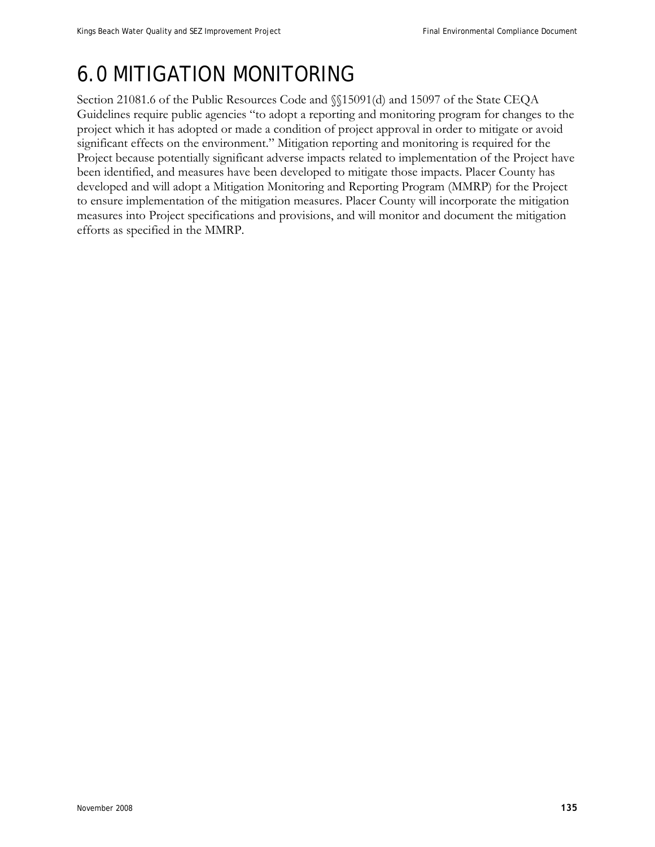# 6.0 MITIGATION MONITORING

Section 21081.6 of the Public Resources Code and §§15091(d) and 15097 of the State CEQA Guidelines require public agencies "to adopt a reporting and monitoring program for changes to the project which it has adopted or made a condition of project approval in order to mitigate or avoid significant effects on the environment." Mitigation reporting and monitoring is required for the Project because potentially significant adverse impacts related to implementation of the Project have been identified, and measures have been developed to mitigate those impacts. Placer County has developed and will adopt a Mitigation Monitoring and Reporting Program (MMRP) for the Project to ensure implementation of the mitigation measures. Placer County will incorporate the mitigation measures into Project specifications and provisions, and will monitor and document the mitigation efforts as specified in the MMRP.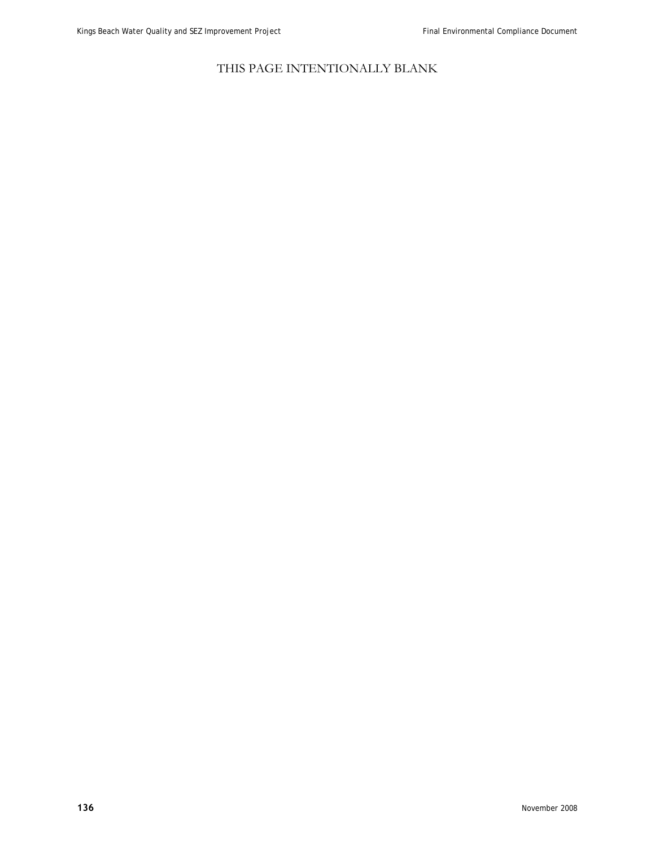#### THIS PAGE INTENTIONALLY BLANK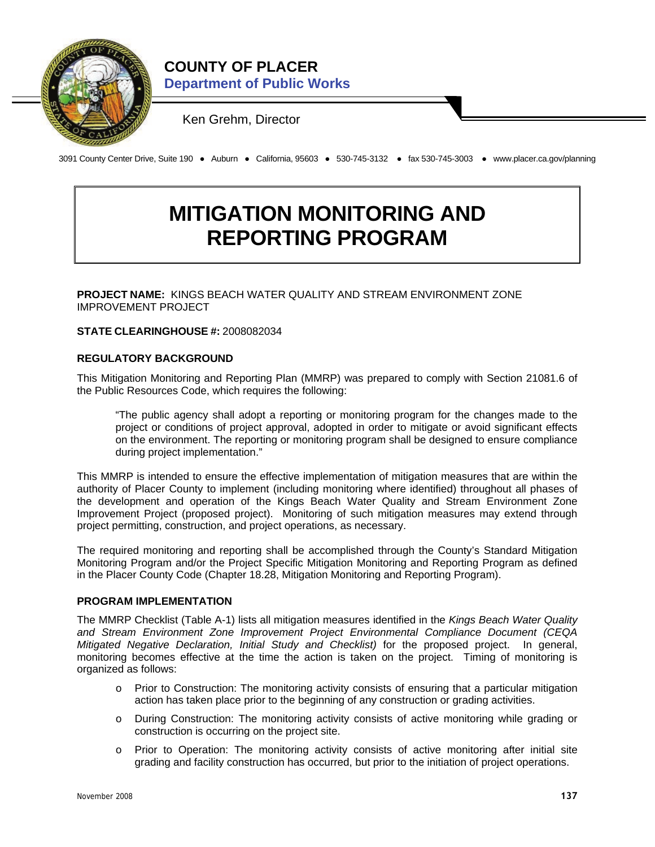

**COUNTY OF PLACER Department of Public Works** 

Ken Grehm, Director

3091 County Center Drive, Suite 190 ● Auburn ● California, 95603 ● 530-745-3132 ● fax 530-745-3003 ● www.placer.ca.gov/planning

## **MITIGATION MONITORING AND REPORTING PROGRAM**

 **PROJECT NAME:** KINGS BEACH WATER QUALITY AND STREAM ENVIRONMENT ZONE IMPROVEMENT PROJECT

#### **STATE CLEARINGHOUSE #:** 2008082034

#### **REGULATORY BACKGROUND**

This Mitigation Monitoring and Reporting Plan (MMRP) was prepared to comply with Section 21081.6 of the Public Resources Code, which requires the following:

"The public agency shall adopt a reporting or monitoring program for the changes made to the project or conditions of project approval, adopted in order to mitigate or avoid significant effects on the environment. The reporting or monitoring program shall be designed to ensure compliance during project implementation."

This MMRP is intended to ensure the effective implementation of mitigation measures that are within the authority of Placer County to implement (including monitoring where identified) throughout all phases of the development and operation of the Kings Beach Water Quality and Stream Environment Zone Improvement Project (proposed project). Monitoring of such mitigation measures may extend through project permitting, construction, and project operations, as necessary.

The required monitoring and reporting shall be accomplished through the County's Standard Mitigation Monitoring Program and/or the Project Specific Mitigation Monitoring and Reporting Program as defined in the Placer County Code (Chapter 18.28, Mitigation Monitoring and Reporting Program).

#### **PROGRAM IMPLEMENTATION**

The MMRP Checklist (Table A-1) lists all mitigation measures identified in the *Kings Beach Water Quality and Stream Environment Zone Improvement Project Environmental Compliance Document (CEQA Mitigated Negative Declaration, Initial Study and Checklist)* for the proposed project. In general, monitoring becomes effective at the time the action is taken on the project. Timing of monitoring is organized as follows:

- $\circ$  Prior to Construction: The monitoring activity consists of ensuring that a particular mitigation action has taken place prior to the beginning of any construction or grading activities.
- $\circ$  During Construction: The monitoring activity consists of active monitoring while grading or construction is occurring on the project site.
- $\circ$  Prior to Operation: The monitoring activity consists of active monitoring after initial site grading and facility construction has occurred, but prior to the initiation of project operations.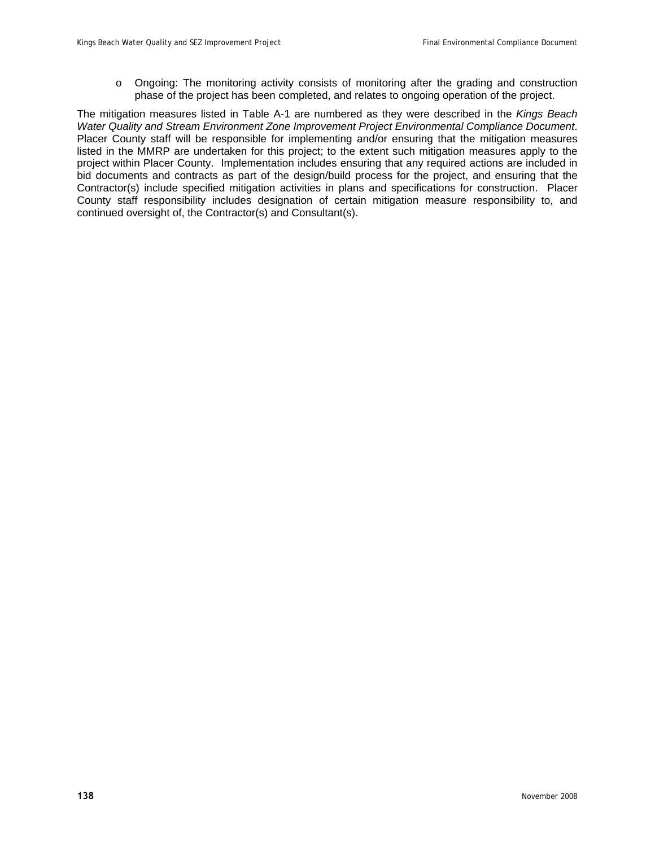$\circ$  Ongoing: The monitoring activity consists of monitoring after the grading and construction phase of the project has been completed, and relates to ongoing operation of the project.

The mitigation measures listed in Table A-1 are numbered as they were described in the *Kings Beach Water Quality and Stream Environment Zone Improvement Project Environmental Compliance Document*. Placer County staff will be responsible for implementing and/or ensuring that the mitigation measures listed in the MMRP are undertaken for this project; to the extent such mitigation measures apply to the project within Placer County. Implementation includes ensuring that any required actions are included in bid documents and contracts as part of the design/build process for the project, and ensuring that the Contractor(s) include specified mitigation activities in plans and specifications for construction. Placer County staff responsibility includes designation of certain mitigation measure responsibility to, and continued oversight of, the Contractor(s) and Consultant(s).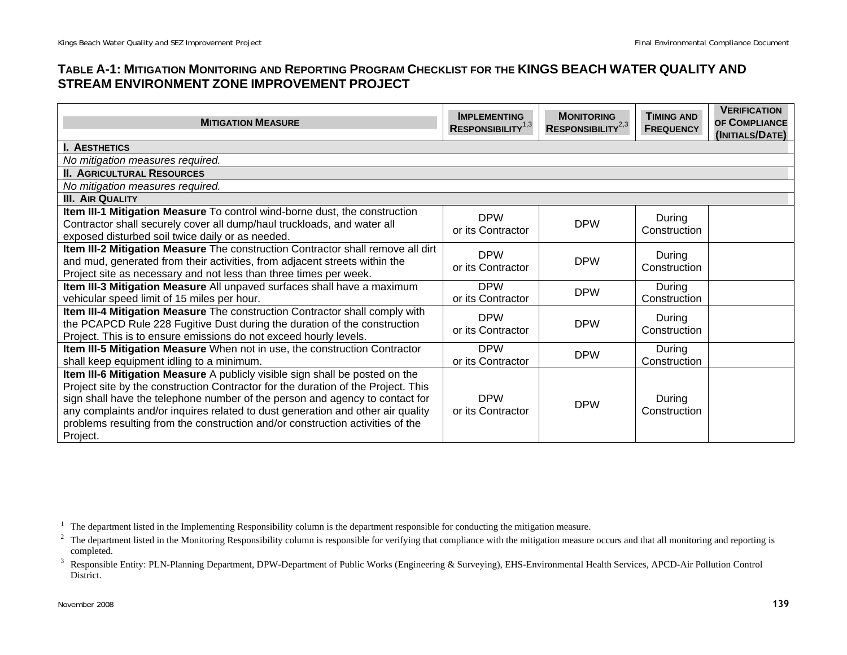### **TABLE A-1: MITIGATION MONITORING AND REPORTING PROGRAM CHECKLIST FOR THE KINGS BEACH WATER QUALITY AND STREAM ENVIRONMENT ZONE IMPROVEMENT PROJECT**

| <b>MITIGATION MEASURE</b>                                                                                                                                                                                                                                                                                                                                                                                                          | <b>IMPLEMENTING</b><br>$\mathsf{ResPONSIBILITY}^{1,3}$ | <b>MONITORING</b><br>RESPONSIBILITY <sup>2,3</sup> | <b>TIMING AND</b><br><b>FREQUENCY</b> | <b>VERIFICATION</b><br>OF COMPLIANCE<br>(INITIALS/DATE) |
|------------------------------------------------------------------------------------------------------------------------------------------------------------------------------------------------------------------------------------------------------------------------------------------------------------------------------------------------------------------------------------------------------------------------------------|--------------------------------------------------------|----------------------------------------------------|---------------------------------------|---------------------------------------------------------|
| I. Aesthetics                                                                                                                                                                                                                                                                                                                                                                                                                      |                                                        |                                                    |                                       |                                                         |
| No mitigation measures required.                                                                                                                                                                                                                                                                                                                                                                                                   |                                                        |                                                    |                                       |                                                         |
| <b>II. AGRICULTURAL RESOURCES</b>                                                                                                                                                                                                                                                                                                                                                                                                  |                                                        |                                                    |                                       |                                                         |
| No mitigation measures required.                                                                                                                                                                                                                                                                                                                                                                                                   |                                                        |                                                    |                                       |                                                         |
| <b>III. AIR QUALITY</b>                                                                                                                                                                                                                                                                                                                                                                                                            |                                                        |                                                    |                                       |                                                         |
| Item III-1 Mitigation Measure To control wind-borne dust, the construction<br>Contractor shall securely cover all dump/haul truckloads, and water all<br>exposed disturbed soil twice daily or as needed.                                                                                                                                                                                                                          | <b>DPW</b><br>or its Contractor                        | <b>DPW</b>                                         | During<br>Construction                |                                                         |
| Item III-2 Mitigation Measure The construction Contractor shall remove all dirt<br>and mud, generated from their activities, from adjacent streets within the<br>Project site as necessary and not less than three times per week.                                                                                                                                                                                                 | <b>DPW</b><br>or its Contractor                        | <b>DPW</b>                                         | During<br>Construction                |                                                         |
| Item III-3 Mitigation Measure All unpaved surfaces shall have a maximum<br>vehicular speed limit of 15 miles per hour.                                                                                                                                                                                                                                                                                                             | <b>DPW</b><br>or its Contractor                        | <b>DPW</b>                                         | During<br>Construction                |                                                         |
| Item III-4 Mitigation Measure The construction Contractor shall comply with<br>the PCAPCD Rule 228 Fugitive Dust during the duration of the construction<br>Project. This is to ensure emissions do not exceed hourly levels.                                                                                                                                                                                                      | <b>DPW</b><br>or its Contractor                        | <b>DPW</b>                                         | During<br>Construction                |                                                         |
| Item III-5 Mitigation Measure When not in use, the construction Contractor<br>shall keep equipment idling to a minimum.                                                                                                                                                                                                                                                                                                            | <b>DPW</b><br>or its Contractor                        | <b>DPW</b>                                         | During<br>Construction                |                                                         |
| Item III-6 Mitigation Measure A publicly visible sign shall be posted on the<br>Project site by the construction Contractor for the duration of the Project. This<br>sign shall have the telephone number of the person and agency to contact for<br>any complaints and/or inquires related to dust generation and other air quality<br>problems resulting from the construction and/or construction activities of the<br>Project. | <b>DPW</b><br>or its Contractor                        | <b>DPW</b>                                         | During<br>Construction                |                                                         |

1The department listed in the Implementing Responsibility column is the department responsible for conducting the mitigation measure.

<sup>&</sup>lt;sup>2</sup> The department listed in the Monitoring Responsibility column is responsible for verifying that compliance with the mitigation measure occurs and that all monitoring and reporting is completed.

<sup>&</sup>lt;sup>3</sup> Responsible Entity: PLN-Planning Department, DPW-Department of Public Works (Engineering & Surveying), EHS-Environmental Health Services, APCD-Air Pollution Control District.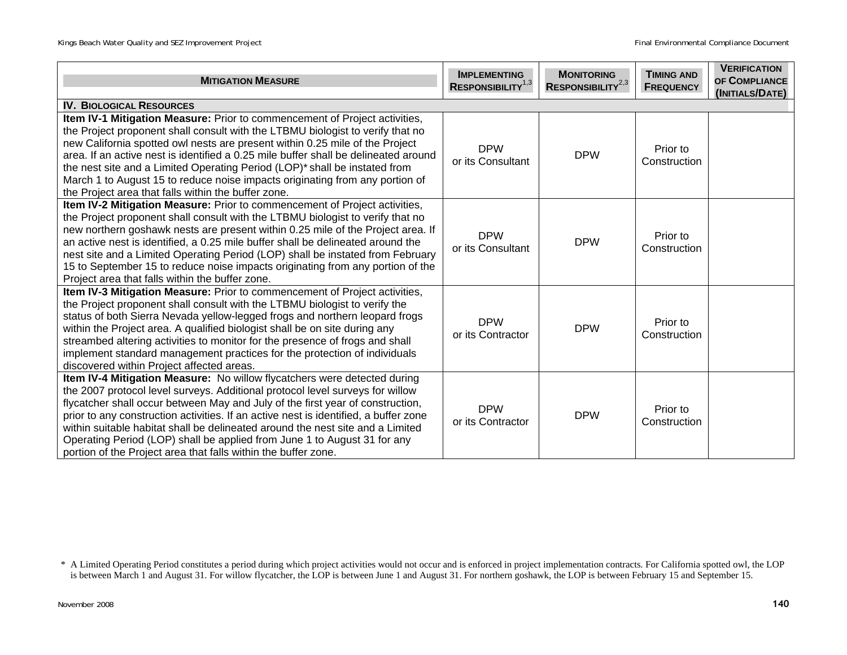| <b>MITIGATION MEASURE</b>                                                                                                                                                                                                                                                                                                                                                                                                                                                                                                                                           | <b>IMPLEMENTING</b><br>$\mathsf{ResPONSIBILITY}^{1,3}$ | <b>MONITORING</b><br>$\mathsf{RESPONSIBILITY}^{2,3}$ | <b>TIMING AND</b><br><b>FREQUENCY</b> | <b>VERIFICATION</b><br>OF COMPLIANCE<br>(INITIALS/DATE) |
|---------------------------------------------------------------------------------------------------------------------------------------------------------------------------------------------------------------------------------------------------------------------------------------------------------------------------------------------------------------------------------------------------------------------------------------------------------------------------------------------------------------------------------------------------------------------|--------------------------------------------------------|------------------------------------------------------|---------------------------------------|---------------------------------------------------------|
| <b>IV. BIOLOGICAL RESOURCES</b>                                                                                                                                                                                                                                                                                                                                                                                                                                                                                                                                     |                                                        |                                                      |                                       |                                                         |
| Item IV-1 Mitigation Measure: Prior to commencement of Project activities,<br>the Project proponent shall consult with the LTBMU biologist to verify that no<br>new California spotted owl nests are present within 0.25 mile of the Project<br>area. If an active nest is identified a 0.25 mile buffer shall be delineated around<br>the nest site and a Limited Operating Period (LOP)* shall be instated from<br>March 1 to August 15 to reduce noise impacts originating from any portion of<br>the Project area that falls within the buffer zone.            | <b>DPW</b><br>or its Consultant                        | <b>DPW</b>                                           | Prior to<br>Construction              |                                                         |
| Item IV-2 Mitigation Measure: Prior to commencement of Project activities,<br>the Project proponent shall consult with the LTBMU biologist to verify that no<br>new northern goshawk nests are present within 0.25 mile of the Project area. If<br>an active nest is identified, a 0.25 mile buffer shall be delineated around the<br>nest site and a Limited Operating Period (LOP) shall be instated from February<br>15 to September 15 to reduce noise impacts originating from any portion of the<br>Project area that falls within the buffer zone.           | <b>DPW</b><br>or its Consultant                        | <b>DPW</b>                                           | Prior to<br>Construction              |                                                         |
| Item IV-3 Mitigation Measure: Prior to commencement of Project activities,<br>the Project proponent shall consult with the LTBMU biologist to verify the<br>status of both Sierra Nevada yellow-legged frogs and northern leopard frogs<br>within the Project area. A qualified biologist shall be on site during any<br>streambed altering activities to monitor for the presence of frogs and shall<br>implement standard management practices for the protection of individuals<br>discovered within Project affected areas.                                     | <b>DPW</b><br>or its Contractor                        | <b>DPW</b>                                           | Prior to<br>Construction              |                                                         |
| Item IV-4 Mitigation Measure: No willow flycatchers were detected during<br>the 2007 protocol level surveys. Additional protocol level surveys for willow<br>flycatcher shall occur between May and July of the first year of construction,<br>prior to any construction activities. If an active nest is identified, a buffer zone<br>within suitable habitat shall be delineated around the nest site and a Limited<br>Operating Period (LOP) shall be applied from June 1 to August 31 for any<br>portion of the Project area that falls within the buffer zone. | <b>DPW</b><br>or its Contractor                        | <b>DPW</b>                                           | Prior to<br>Construction              |                                                         |

<sup>\*</sup> A Limited Operating Period constitutes a period during which project activities would not occur and is enforced in project implementation contracts. For California spotted owl, the LOP is between March 1 and August 31. For willow flycatcher, the LOP is between June 1 and August 31. For northern goshawk, the LOP is between February 15 and September 15.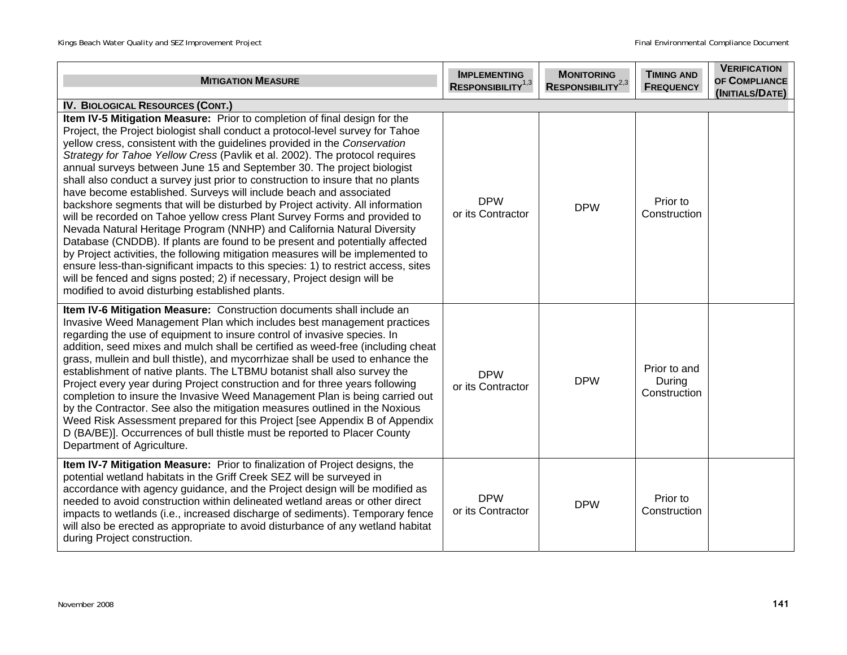| <b>MITIGATION MEASURE</b>                                                                                                                                                                                                                                                                                                                                                                                                                                                                                                                                                                                                                                                                                                                                                                                                                                                                                                                                                                                                                                                                                                                                                                     | <b>IMPLEMENTING</b><br>RESPONSIBILITY <sup>1,3</sup> | <b>MONITORING</b><br>RESPONSIBILITY <sup>2,3</sup> | <b>TIMING AND</b><br><b>FREQUENCY</b>  | <b>VERIFICATION</b><br>OF COMPLIANCE<br>(INITIALS/DATE) |
|-----------------------------------------------------------------------------------------------------------------------------------------------------------------------------------------------------------------------------------------------------------------------------------------------------------------------------------------------------------------------------------------------------------------------------------------------------------------------------------------------------------------------------------------------------------------------------------------------------------------------------------------------------------------------------------------------------------------------------------------------------------------------------------------------------------------------------------------------------------------------------------------------------------------------------------------------------------------------------------------------------------------------------------------------------------------------------------------------------------------------------------------------------------------------------------------------|------------------------------------------------------|----------------------------------------------------|----------------------------------------|---------------------------------------------------------|
| IV. BIOLOGICAL RESOURCES (CONT.)                                                                                                                                                                                                                                                                                                                                                                                                                                                                                                                                                                                                                                                                                                                                                                                                                                                                                                                                                                                                                                                                                                                                                              |                                                      |                                                    |                                        |                                                         |
| Item IV-5 Mitigation Measure: Prior to completion of final design for the<br>Project, the Project biologist shall conduct a protocol-level survey for Tahoe<br>yellow cress, consistent with the guidelines provided in the Conservation<br>Strategy for Tahoe Yellow Cress (Pavlik et al. 2002). The protocol requires<br>annual surveys between June 15 and September 30. The project biologist<br>shall also conduct a survey just prior to construction to insure that no plants<br>have become established. Surveys will include beach and associated<br>backshore segments that will be disturbed by Project activity. All information<br>will be recorded on Tahoe yellow cress Plant Survey Forms and provided to<br>Nevada Natural Heritage Program (NNHP) and California Natural Diversity<br>Database (CNDDB). If plants are found to be present and potentially affected<br>by Project activities, the following mitigation measures will be implemented to<br>ensure less-than-significant impacts to this species: 1) to restrict access, sites<br>will be fenced and signs posted; 2) if necessary, Project design will be<br>modified to avoid disturbing established plants. | <b>DPW</b><br>or its Contractor                      | <b>DPW</b>                                         | Prior to<br>Construction               |                                                         |
| Item IV-6 Mitigation Measure: Construction documents shall include an<br>Invasive Weed Management Plan which includes best management practices<br>regarding the use of equipment to insure control of invasive species. In<br>addition, seed mixes and mulch shall be certified as weed-free (including cheat<br>grass, mullein and bull thistle), and mycorrhizae shall be used to enhance the<br>establishment of native plants. The LTBMU botanist shall also survey the<br>Project every year during Project construction and for three years following<br>completion to insure the Invasive Weed Management Plan is being carried out<br>by the Contractor. See also the mitigation measures outlined in the Noxious<br>Weed Risk Assessment prepared for this Project [see Appendix B of Appendix<br>D (BA/BE)]. Occurrences of bull thistle must be reported to Placer County<br>Department of Agriculture.                                                                                                                                                                                                                                                                           | <b>DPW</b><br>or its Contractor                      | <b>DPW</b>                                         | Prior to and<br>During<br>Construction |                                                         |
| Item IV-7 Mitigation Measure: Prior to finalization of Project designs, the<br>potential wetland habitats in the Griff Creek SEZ will be surveyed in<br>accordance with agency guidance, and the Project design will be modified as<br>needed to avoid construction within delineated wetland areas or other direct<br>impacts to wetlands (i.e., increased discharge of sediments). Temporary fence<br>will also be erected as appropriate to avoid disturbance of any wetland habitat<br>during Project construction.                                                                                                                                                                                                                                                                                                                                                                                                                                                                                                                                                                                                                                                                       | <b>DPW</b><br>or its Contractor                      | <b>DPW</b>                                         | Prior to<br>Construction               |                                                         |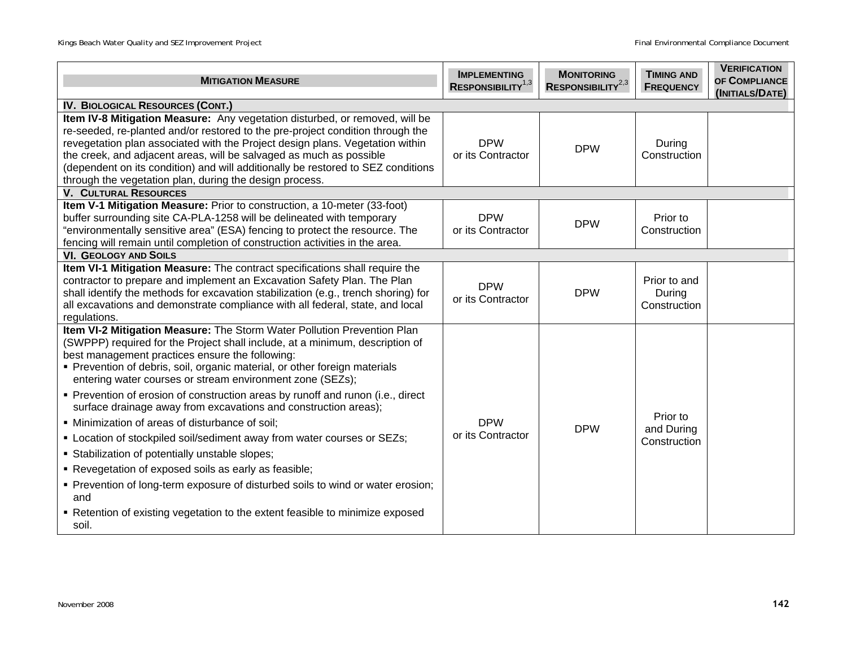| <b>MITIGATION MEASURE</b>                                                                                                                                                                                                                                                                                                                                                                                                                                                                                                                                                                                                                                                                                                                                                                                                                                                                                                               | <b>IMPLEMENTING</b><br>RESPONSIBILITY <sup>1,3</sup> | <b>MONITORING</b><br>RESPONSIBILITY <sup>2,3</sup> | <b>TIMING AND</b><br><b>FREQUENCY</b>  | <b>VERIFICATION</b><br>OF COMPLIANCE<br>(INITIALS/DATE) |
|-----------------------------------------------------------------------------------------------------------------------------------------------------------------------------------------------------------------------------------------------------------------------------------------------------------------------------------------------------------------------------------------------------------------------------------------------------------------------------------------------------------------------------------------------------------------------------------------------------------------------------------------------------------------------------------------------------------------------------------------------------------------------------------------------------------------------------------------------------------------------------------------------------------------------------------------|------------------------------------------------------|----------------------------------------------------|----------------------------------------|---------------------------------------------------------|
| IV. BIOLOGICAL RESOURCES (CONT.)                                                                                                                                                                                                                                                                                                                                                                                                                                                                                                                                                                                                                                                                                                                                                                                                                                                                                                        |                                                      |                                                    |                                        |                                                         |
| Item IV-8 Mitigation Measure: Any vegetation disturbed, or removed, will be<br>re-seeded, re-planted and/or restored to the pre-project condition through the<br>revegetation plan associated with the Project design plans. Vegetation within<br>the creek, and adjacent areas, will be salvaged as much as possible<br>(dependent on its condition) and will additionally be restored to SEZ conditions<br>through the vegetation plan, during the design process.                                                                                                                                                                                                                                                                                                                                                                                                                                                                    | <b>DPW</b><br>or its Contractor                      | <b>DPW</b>                                         | During<br>Construction                 |                                                         |
| <b>V. CULTURAL RESOURCES</b>                                                                                                                                                                                                                                                                                                                                                                                                                                                                                                                                                                                                                                                                                                                                                                                                                                                                                                            |                                                      |                                                    |                                        |                                                         |
| Item V-1 Mitigation Measure: Prior to construction, a 10-meter (33-foot)<br>buffer surrounding site CA-PLA-1258 will be delineated with temporary<br>"environmentally sensitive area" (ESA) fencing to protect the resource. The<br>fencing will remain until completion of construction activities in the area.                                                                                                                                                                                                                                                                                                                                                                                                                                                                                                                                                                                                                        | <b>DPW</b><br>or its Contractor                      | <b>DPW</b>                                         | Prior to<br>Construction               |                                                         |
| <b>VI. GEOLOGY AND SOILS</b>                                                                                                                                                                                                                                                                                                                                                                                                                                                                                                                                                                                                                                                                                                                                                                                                                                                                                                            |                                                      |                                                    |                                        |                                                         |
| Item VI-1 Mitigation Measure: The contract specifications shall require the<br>contractor to prepare and implement an Excavation Safety Plan. The Plan<br>shall identify the methods for excavation stabilization (e.g., trench shoring) for<br>all excavations and demonstrate compliance with all federal, state, and local<br>regulations.                                                                                                                                                                                                                                                                                                                                                                                                                                                                                                                                                                                           | <b>DPW</b><br>or its Contractor                      | <b>DPW</b>                                         | Prior to and<br>During<br>Construction |                                                         |
| Item VI-2 Mitigation Measure: The Storm Water Pollution Prevention Plan<br>(SWPPP) required for the Project shall include, at a minimum, description of<br>best management practices ensure the following:<br>Prevention of debris, soil, organic material, or other foreign materials<br>entering water courses or stream environment zone (SEZs);<br>• Prevention of erosion of construction areas by runoff and runon (i.e., direct<br>surface drainage away from excavations and construction areas);<br>• Minimization of areas of disturbance of soil;<br>• Location of stockpiled soil/sediment away from water courses or SEZs;<br>• Stabilization of potentially unstable slopes;<br>• Revegetation of exposed soils as early as feasible;<br>• Prevention of long-term exposure of disturbed soils to wind or water erosion;<br>and<br>• Retention of existing vegetation to the extent feasible to minimize exposed<br>soil. | <b>DPW</b><br>or its Contractor                      | <b>DPW</b>                                         | Prior to<br>and During<br>Construction |                                                         |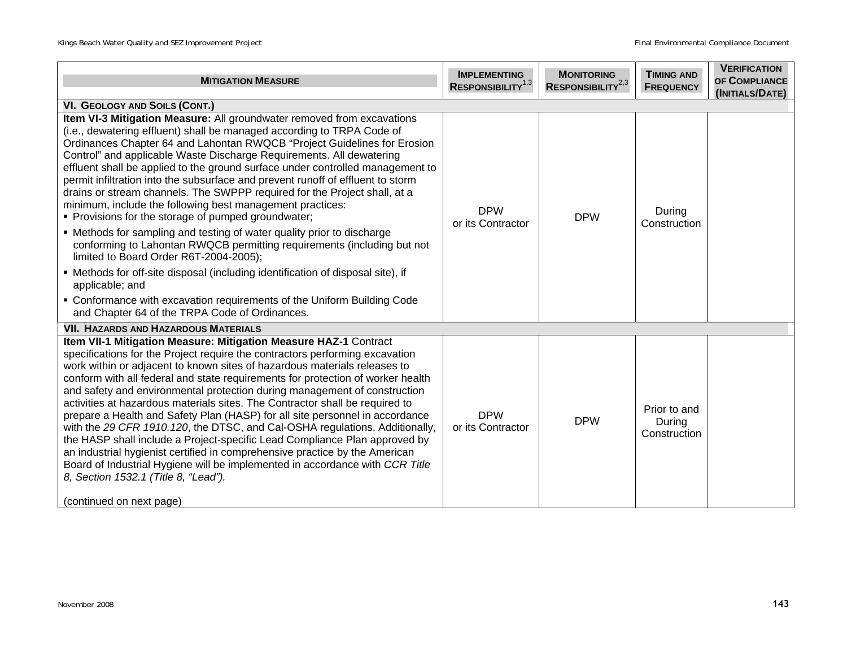| <b>MITIGATION MEASURE</b>                                                                                                                                                                                                                                                                                                                                                                                                                                                                                                                                                                                                                                                                                                                                                                                                                                                                                                         | <b>IMPLEMENTING</b><br>RESPONSIBILITY <sup>1,3</sup> | <b>MONITORING</b><br>RESPONSIBILITY <sup>2,3</sup> | <b>TIMING AND</b><br><b>FREQUENCY</b>  | <b>VERIFICATION</b><br>OF COMPLIANCE<br>(INITIALS/DATE) |
|-----------------------------------------------------------------------------------------------------------------------------------------------------------------------------------------------------------------------------------------------------------------------------------------------------------------------------------------------------------------------------------------------------------------------------------------------------------------------------------------------------------------------------------------------------------------------------------------------------------------------------------------------------------------------------------------------------------------------------------------------------------------------------------------------------------------------------------------------------------------------------------------------------------------------------------|------------------------------------------------------|----------------------------------------------------|----------------------------------------|---------------------------------------------------------|
| <b>VI. GEOLOGY AND SOILS (CONT.)</b>                                                                                                                                                                                                                                                                                                                                                                                                                                                                                                                                                                                                                                                                                                                                                                                                                                                                                              |                                                      |                                                    |                                        |                                                         |
| Item VI-3 Mitigation Measure: All groundwater removed from excavations<br>(i.e., dewatering effluent) shall be managed according to TRPA Code of<br>Ordinances Chapter 64 and Lahontan RWQCB "Project Guidelines for Erosion<br>Control" and applicable Waste Discharge Requirements. All dewatering<br>effluent shall be applied to the ground surface under controlled management to<br>permit infiltration into the subsurface and prevent runoff of effluent to storm<br>drains or stream channels. The SWPPP required for the Project shall, at a<br>minimum, include the following best management practices:<br>• Provisions for the storage of pumped groundwater;                                                                                                                                                                                                                                                        | <b>DPW</b><br>or its Contractor                      | <b>DPW</b>                                         | During<br>Construction                 |                                                         |
| • Methods for sampling and testing of water quality prior to discharge<br>conforming to Lahontan RWQCB permitting requirements (including but not<br>limited to Board Order R6T-2004-2005);                                                                                                                                                                                                                                                                                                                                                                                                                                                                                                                                                                                                                                                                                                                                       |                                                      |                                                    |                                        |                                                         |
| • Methods for off-site disposal (including identification of disposal site), if<br>applicable; and                                                                                                                                                                                                                                                                                                                                                                                                                                                                                                                                                                                                                                                                                                                                                                                                                                |                                                      |                                                    |                                        |                                                         |
| • Conformance with excavation requirements of the Uniform Building Code<br>and Chapter 64 of the TRPA Code of Ordinances.                                                                                                                                                                                                                                                                                                                                                                                                                                                                                                                                                                                                                                                                                                                                                                                                         |                                                      |                                                    |                                        |                                                         |
| <b>VII. HAZARDS AND HAZARDOUS MATERIALS</b>                                                                                                                                                                                                                                                                                                                                                                                                                                                                                                                                                                                                                                                                                                                                                                                                                                                                                       |                                                      |                                                    |                                        |                                                         |
| Item VII-1 Mitigation Measure: Mitigation Measure HAZ-1 Contract<br>specifications for the Project require the contractors performing excavation<br>work within or adjacent to known sites of hazardous materials releases to<br>conform with all federal and state requirements for protection of worker health<br>and safety and environmental protection during management of construction<br>activities at hazardous materials sites. The Contractor shall be required to<br>prepare a Health and Safety Plan (HASP) for all site personnel in accordance<br>with the 29 CFR 1910.120, the DTSC, and Cal-OSHA regulations. Additionally,<br>the HASP shall include a Project-specific Lead Compliance Plan approved by<br>an industrial hygienist certified in comprehensive practice by the American<br>Board of Industrial Hygiene will be implemented in accordance with CCR Title<br>8, Section 1532.1 (Title 8, "Lead"). | <b>DPW</b><br>or its Contractor                      | <b>DPW</b>                                         | Prior to and<br>During<br>Construction |                                                         |
| (continued on next page)                                                                                                                                                                                                                                                                                                                                                                                                                                                                                                                                                                                                                                                                                                                                                                                                                                                                                                          |                                                      |                                                    |                                        |                                                         |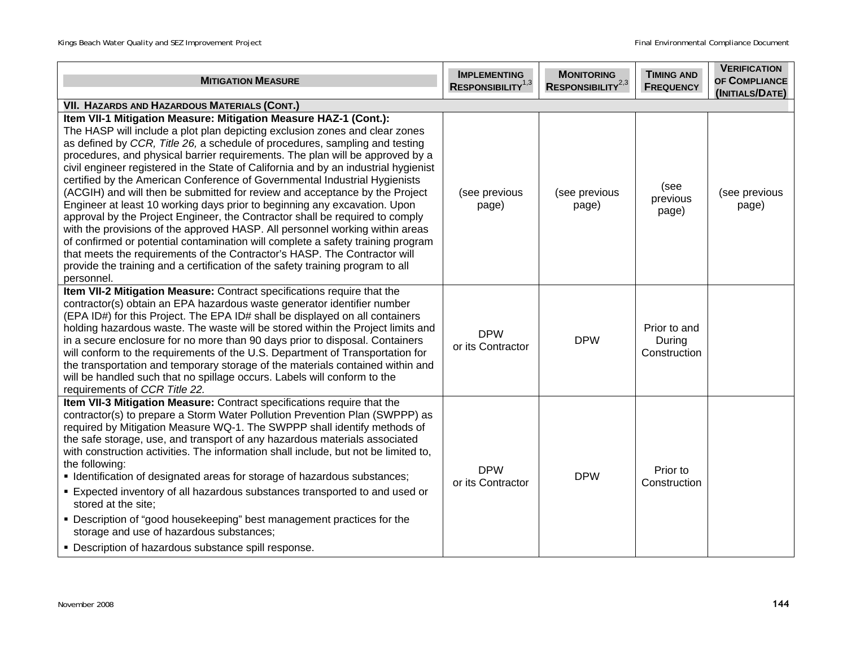| <b>MITIGATION MEASURE</b>                                                                                                                                                                                                                                                                                                                                                                                                                                                                                                                                                                                                                                                                                                                                                                                                                                                                                                                                                                                                                                                        | <b>IMPLEMENTING</b><br>RESPONSIBILITY <sup>1,3</sup> | <b>MONITORING</b><br>RESPONSIBILITY <sup>2,3</sup> | <b>TIMING AND</b><br><b>FREQUENCY</b>  | <b>VERIFICATION</b><br>OF COMPLIANCE<br>(INITIALS/DATE) |
|----------------------------------------------------------------------------------------------------------------------------------------------------------------------------------------------------------------------------------------------------------------------------------------------------------------------------------------------------------------------------------------------------------------------------------------------------------------------------------------------------------------------------------------------------------------------------------------------------------------------------------------------------------------------------------------------------------------------------------------------------------------------------------------------------------------------------------------------------------------------------------------------------------------------------------------------------------------------------------------------------------------------------------------------------------------------------------|------------------------------------------------------|----------------------------------------------------|----------------------------------------|---------------------------------------------------------|
| <b>VII. HAZARDS AND HAZARDOUS MATERIALS (CONT.)</b>                                                                                                                                                                                                                                                                                                                                                                                                                                                                                                                                                                                                                                                                                                                                                                                                                                                                                                                                                                                                                              |                                                      |                                                    |                                        |                                                         |
| Item VII-1 Mitigation Measure: Mitigation Measure HAZ-1 (Cont.):<br>The HASP will include a plot plan depicting exclusion zones and clear zones<br>as defined by CCR, Title 26, a schedule of procedures, sampling and testing<br>procedures, and physical barrier requirements. The plan will be approved by a<br>civil engineer registered in the State of California and by an industrial hygienist<br>certified by the American Conference of Governmental Industrial Hygienists<br>(ACGIH) and will then be submitted for review and acceptance by the Project<br>Engineer at least 10 working days prior to beginning any excavation. Upon<br>approval by the Project Engineer, the Contractor shall be required to comply<br>with the provisions of the approved HASP. All personnel working within areas<br>of confirmed or potential contamination will complete a safety training program<br>that meets the requirements of the Contractor's HASP. The Contractor will<br>provide the training and a certification of the safety training program to all<br>personnel. | (see previous<br>page)                               | (see previous<br>page)                             | (see<br>previous<br>page)              | (see previous<br>page)                                  |
| Item VII-2 Mitigation Measure: Contract specifications require that the<br>contractor(s) obtain an EPA hazardous waste generator identifier number<br>(EPA ID#) for this Project. The EPA ID# shall be displayed on all containers<br>holding hazardous waste. The waste will be stored within the Project limits and<br>in a secure enclosure for no more than 90 days prior to disposal. Containers<br>will conform to the requirements of the U.S. Department of Transportation for<br>the transportation and temporary storage of the materials contained within and<br>will be handled such that no spillage occurs. Labels will conform to the<br>requirements of CCR Title 22.                                                                                                                                                                                                                                                                                                                                                                                            | <b>DPW</b><br>or its Contractor                      | <b>DPW</b>                                         | Prior to and<br>During<br>Construction |                                                         |
| Item VII-3 Mitigation Measure: Contract specifications require that the<br>contractor(s) to prepare a Storm Water Pollution Prevention Plan (SWPPP) as<br>required by Mitigation Measure WQ-1. The SWPPP shall identify methods of<br>the safe storage, use, and transport of any hazardous materials associated<br>with construction activities. The information shall include, but not be limited to,<br>the following:<br>• Identification of designated areas for storage of hazardous substances;<br>Expected inventory of all hazardous substances transported to and used or<br>stored at the site:<br>• Description of "good housekeeping" best management practices for the<br>storage and use of hazardous substances;<br>• Description of hazardous substance spill response.                                                                                                                                                                                                                                                                                         | <b>DPW</b><br>or its Contractor                      | <b>DPW</b>                                         | Prior to<br>Construction               |                                                         |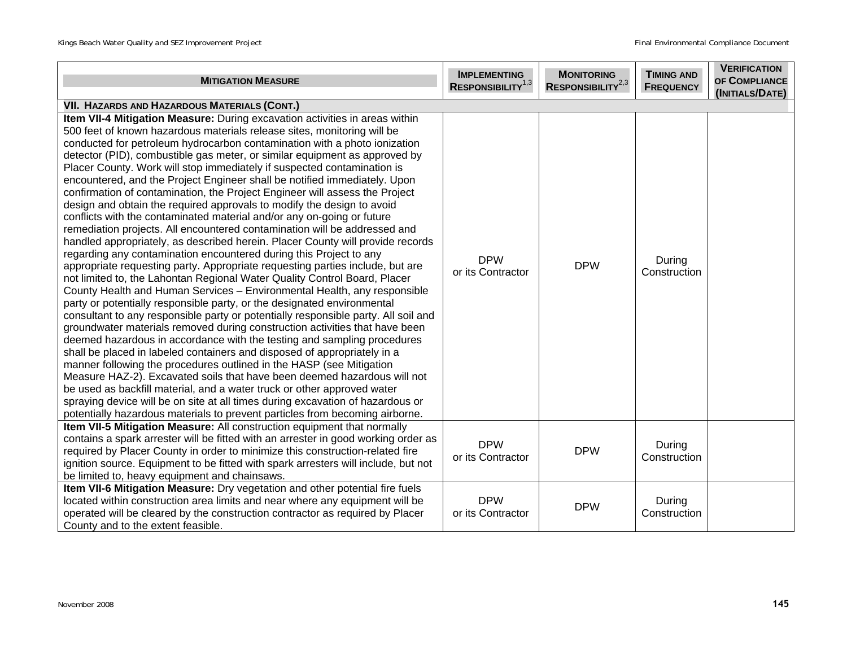| <b>MITIGATION MEASURE</b>                                                                                                                                                                                                                                                                                                                                                                                                                                                                                                                                                                                                                                                                                                                                                                                                                                                                                                                                                                                                                                                                                                                                                                                                                                                                                                                                                                                                                                                                                                                                                                                                                                                                                                                                                                                                                                                                                                                                                                           | <b>IMPLEMENTING</b><br>RESPONSIBILITY <sup>1,3</sup> | <b>MONITORING</b><br>RESPONSIBILITY <sup>2,3</sup> | <b>TIMING AND</b><br><b>FREQUENCY</b> | <b>VERIFICATION</b><br>OF COMPLIANCE<br>(INITIALS/DATE) |
|-----------------------------------------------------------------------------------------------------------------------------------------------------------------------------------------------------------------------------------------------------------------------------------------------------------------------------------------------------------------------------------------------------------------------------------------------------------------------------------------------------------------------------------------------------------------------------------------------------------------------------------------------------------------------------------------------------------------------------------------------------------------------------------------------------------------------------------------------------------------------------------------------------------------------------------------------------------------------------------------------------------------------------------------------------------------------------------------------------------------------------------------------------------------------------------------------------------------------------------------------------------------------------------------------------------------------------------------------------------------------------------------------------------------------------------------------------------------------------------------------------------------------------------------------------------------------------------------------------------------------------------------------------------------------------------------------------------------------------------------------------------------------------------------------------------------------------------------------------------------------------------------------------------------------------------------------------------------------------------------------------|------------------------------------------------------|----------------------------------------------------|---------------------------------------|---------------------------------------------------------|
| VII. HAZARDS AND HAZARDOUS MATERIALS (CONT.)                                                                                                                                                                                                                                                                                                                                                                                                                                                                                                                                                                                                                                                                                                                                                                                                                                                                                                                                                                                                                                                                                                                                                                                                                                                                                                                                                                                                                                                                                                                                                                                                                                                                                                                                                                                                                                                                                                                                                        |                                                      |                                                    |                                       |                                                         |
| Item VII-4 Mitigation Measure: During excavation activities in areas within<br>500 feet of known hazardous materials release sites, monitoring will be<br>conducted for petroleum hydrocarbon contamination with a photo ionization<br>detector (PID), combustible gas meter, or similar equipment as approved by<br>Placer County. Work will stop immediately if suspected contamination is<br>encountered, and the Project Engineer shall be notified immediately. Upon<br>confirmation of contamination, the Project Engineer will assess the Project<br>design and obtain the required approvals to modify the design to avoid<br>conflicts with the contaminated material and/or any on-going or future<br>remediation projects. All encountered contamination will be addressed and<br>handled appropriately, as described herein. Placer County will provide records<br>regarding any contamination encountered during this Project to any<br>appropriate requesting party. Appropriate requesting parties include, but are<br>not limited to, the Lahontan Regional Water Quality Control Board, Placer<br>County Health and Human Services - Environmental Health, any responsible<br>party or potentially responsible party, or the designated environmental<br>consultant to any responsible party or potentially responsible party. All soil and<br>groundwater materials removed during construction activities that have been<br>deemed hazardous in accordance with the testing and sampling procedures<br>shall be placed in labeled containers and disposed of appropriately in a<br>manner following the procedures outlined in the HASP (see Mitigation<br>Measure HAZ-2). Excavated soils that have been deemed hazardous will not<br>be used as backfill material, and a water truck or other approved water<br>spraying device will be on site at all times during excavation of hazardous or<br>potentially hazardous materials to prevent particles from becoming airborne. | <b>DPW</b><br>or its Contractor                      | <b>DPW</b>                                         | During<br>Construction                |                                                         |
| Item VII-5 Mitigation Measure: All construction equipment that normally<br>contains a spark arrester will be fitted with an arrester in good working order as<br>required by Placer County in order to minimize this construction-related fire<br>ignition source. Equipment to be fitted with spark arresters will include, but not<br>be limited to, heavy equipment and chainsaws.                                                                                                                                                                                                                                                                                                                                                                                                                                                                                                                                                                                                                                                                                                                                                                                                                                                                                                                                                                                                                                                                                                                                                                                                                                                                                                                                                                                                                                                                                                                                                                                                               | <b>DPW</b><br>or its Contractor                      | <b>DPW</b>                                         | During<br>Construction                |                                                         |
| Item VII-6 Mitigation Measure: Dry vegetation and other potential fire fuels<br>located within construction area limits and near where any equipment will be<br>operated will be cleared by the construction contractor as required by Placer<br>County and to the extent feasible.                                                                                                                                                                                                                                                                                                                                                                                                                                                                                                                                                                                                                                                                                                                                                                                                                                                                                                                                                                                                                                                                                                                                                                                                                                                                                                                                                                                                                                                                                                                                                                                                                                                                                                                 | <b>DPW</b><br>or its Contractor                      | <b>DPW</b>                                         | During<br>Construction                |                                                         |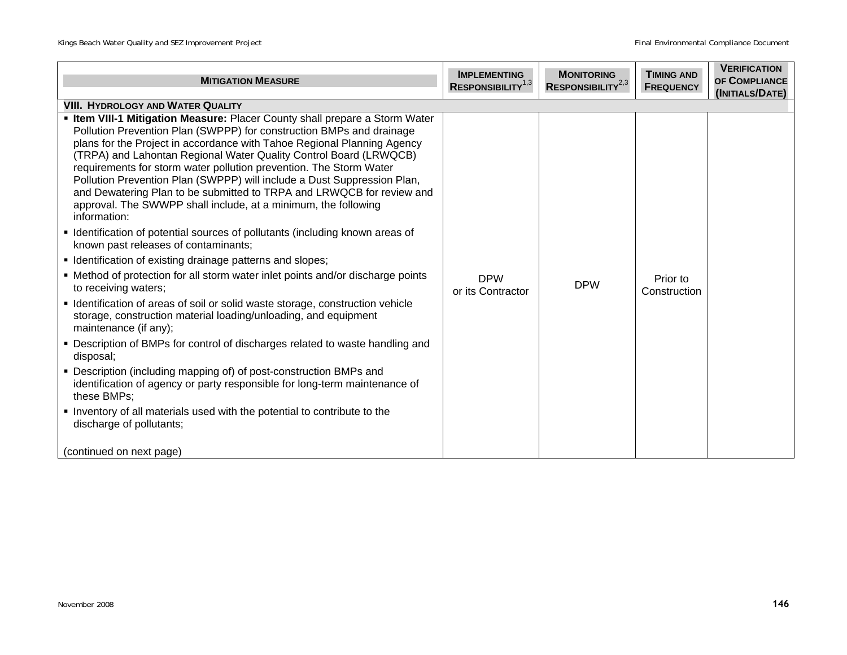| <b>MITIGATION MEASURE</b>                                                                                                                                                                                                                                                                                                                                                                                                                                                                                                                                                                                       | <b>IMPLEMENTING</b><br>RESPONSIBILITY <sup>1,3</sup> | <b>MONITORING</b><br>RESPONSIBILITY <sup>2,3</sup> | <b>TIMING AND</b><br><b>FREQUENCY</b> | <b>VERIFICATION</b><br>OF COMPLIANCE<br>(INITIALS/DATE) |
|-----------------------------------------------------------------------------------------------------------------------------------------------------------------------------------------------------------------------------------------------------------------------------------------------------------------------------------------------------------------------------------------------------------------------------------------------------------------------------------------------------------------------------------------------------------------------------------------------------------------|------------------------------------------------------|----------------------------------------------------|---------------------------------------|---------------------------------------------------------|
| <b>VIII. HYDROLOGY AND WATER QUALITY</b>                                                                                                                                                                                                                                                                                                                                                                                                                                                                                                                                                                        |                                                      |                                                    |                                       |                                                         |
| . Item VIII-1 Mitigation Measure: Placer County shall prepare a Storm Water<br>Pollution Prevention Plan (SWPPP) for construction BMPs and drainage<br>plans for the Project in accordance with Tahoe Regional Planning Agency<br>(TRPA) and Lahontan Regional Water Quality Control Board (LRWQCB)<br>requirements for storm water pollution prevention. The Storm Water<br>Pollution Prevention Plan (SWPPP) will include a Dust Suppression Plan,<br>and Dewatering Plan to be submitted to TRPA and LRWQCB for review and<br>approval. The SWWPP shall include, at a minimum, the following<br>information: |                                                      |                                                    |                                       |                                                         |
| • Identification of potential sources of pollutants (including known areas of<br>known past releases of contaminants;                                                                                                                                                                                                                                                                                                                                                                                                                                                                                           |                                                      |                                                    | Prior to<br>Construction              |                                                         |
| • Identification of existing drainage patterns and slopes;                                                                                                                                                                                                                                                                                                                                                                                                                                                                                                                                                      |                                                      |                                                    |                                       |                                                         |
| • Method of protection for all storm water inlet points and/or discharge points<br>to receiving waters;                                                                                                                                                                                                                                                                                                                                                                                                                                                                                                         | <b>DPW</b><br>or its Contractor                      | <b>DPW</b>                                         |                                       |                                                         |
| • Identification of areas of soil or solid waste storage, construction vehicle<br>storage, construction material loading/unloading, and equipment<br>maintenance (if any);                                                                                                                                                                                                                                                                                                                                                                                                                                      |                                                      |                                                    |                                       |                                                         |
| • Description of BMPs for control of discharges related to waste handling and<br>disposal;                                                                                                                                                                                                                                                                                                                                                                                                                                                                                                                      |                                                      |                                                    |                                       |                                                         |
| • Description (including mapping of) of post-construction BMPs and<br>identification of agency or party responsible for long-term maintenance of<br>these BMPs;                                                                                                                                                                                                                                                                                                                                                                                                                                                 |                                                      |                                                    |                                       |                                                         |
| • Inventory of all materials used with the potential to contribute to the<br>discharge of pollutants;                                                                                                                                                                                                                                                                                                                                                                                                                                                                                                           |                                                      |                                                    |                                       |                                                         |
| (continued on next page)                                                                                                                                                                                                                                                                                                                                                                                                                                                                                                                                                                                        |                                                      |                                                    |                                       |                                                         |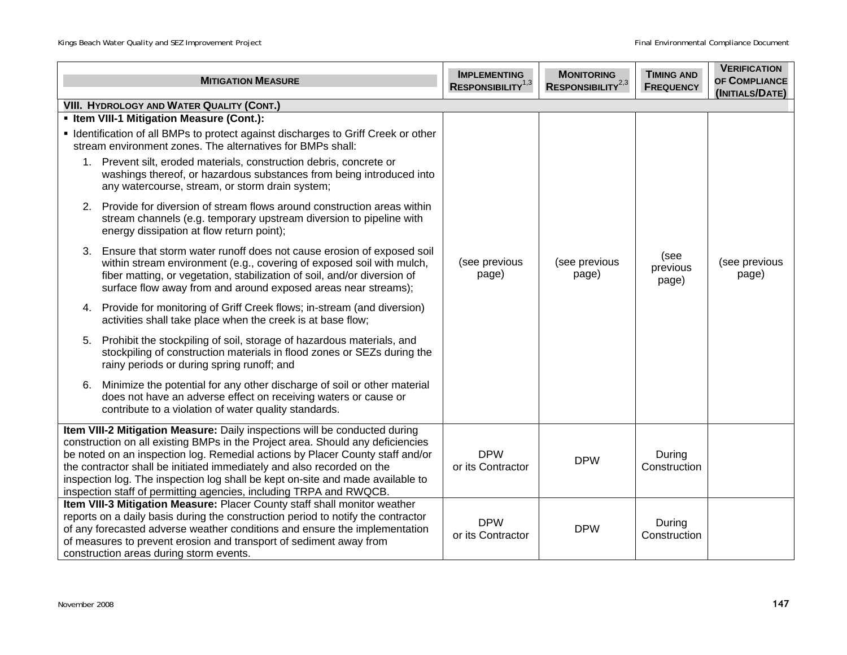|                | <b>MITIGATION MEASURE</b>                                                                                                                                                                                                                                                                                                                                                                                                                                                       | <b>IMPLEMENTING</b><br>RESPONSIBILITY <sup>1,3</sup> | <b>MONITORING</b><br>RESPONSIBILITY <sup>2,3</sup> | <b>TIMING AND</b><br><b>FREQUENCY</b> | <b>VERIFICATION</b><br>OF COMPLIANCE<br>(INITIALS/DATE) |
|----------------|---------------------------------------------------------------------------------------------------------------------------------------------------------------------------------------------------------------------------------------------------------------------------------------------------------------------------------------------------------------------------------------------------------------------------------------------------------------------------------|------------------------------------------------------|----------------------------------------------------|---------------------------------------|---------------------------------------------------------|
|                | VIII. HYDROLOGY AND WATER QUALITY (CONT.)                                                                                                                                                                                                                                                                                                                                                                                                                                       |                                                      |                                                    |                                       |                                                         |
|                | • Item VIII-1 Mitigation Measure (Cont.):                                                                                                                                                                                                                                                                                                                                                                                                                                       |                                                      |                                                    |                                       |                                                         |
|                | • Identification of all BMPs to protect against discharges to Griff Creek or other<br>stream environment zones. The alternatives for BMPs shall:                                                                                                                                                                                                                                                                                                                                |                                                      |                                                    |                                       |                                                         |
| 1.             | Prevent silt, eroded materials, construction debris, concrete or<br>washings thereof, or hazardous substances from being introduced into<br>any watercourse, stream, or storm drain system;                                                                                                                                                                                                                                                                                     |                                                      |                                                    |                                       |                                                         |
| 2 <sub>1</sub> | Provide for diversion of stream flows around construction areas within<br>stream channels (e.g. temporary upstream diversion to pipeline with<br>energy dissipation at flow return point);                                                                                                                                                                                                                                                                                      |                                                      |                                                    |                                       |                                                         |
| 3.             | Ensure that storm water runoff does not cause erosion of exposed soil<br>within stream environment (e.g., covering of exposed soil with mulch,<br>fiber matting, or vegetation, stabilization of soil, and/or diversion of<br>surface flow away from and around exposed areas near streams);                                                                                                                                                                                    | (see previous<br>page)                               | (see previous<br>page)                             | (see<br>previous<br>page)             | (see previous<br>page)                                  |
|                | 4. Provide for monitoring of Griff Creek flows; in-stream (and diversion)<br>activities shall take place when the creek is at base flow;                                                                                                                                                                                                                                                                                                                                        |                                                      |                                                    |                                       |                                                         |
| 5.             | Prohibit the stockpiling of soil, storage of hazardous materials, and<br>stockpiling of construction materials in flood zones or SEZs during the<br>rainy periods or during spring runoff; and                                                                                                                                                                                                                                                                                  |                                                      |                                                    |                                       |                                                         |
| 6.             | Minimize the potential for any other discharge of soil or other material<br>does not have an adverse effect on receiving waters or cause or<br>contribute to a violation of water quality standards.                                                                                                                                                                                                                                                                            |                                                      |                                                    |                                       |                                                         |
|                | Item VIII-2 Mitigation Measure: Daily inspections will be conducted during<br>construction on all existing BMPs in the Project area. Should any deficiencies<br>be noted on an inspection log. Remedial actions by Placer County staff and/or<br>the contractor shall be initiated immediately and also recorded on the<br>inspection log. The inspection log shall be kept on-site and made available to<br>inspection staff of permitting agencies, including TRPA and RWQCB. | <b>DPW</b><br>or its Contractor                      | <b>DPW</b>                                         | During<br>Construction                |                                                         |
|                | Item VIII-3 Mitigation Measure: Placer County staff shall monitor weather<br>reports on a daily basis during the construction period to notify the contractor<br>of any forecasted adverse weather conditions and ensure the implementation<br>of measures to prevent erosion and transport of sediment away from<br>construction areas during storm events.                                                                                                                    | <b>DPW</b><br>or its Contractor                      | <b>DPW</b>                                         | During<br>Construction                |                                                         |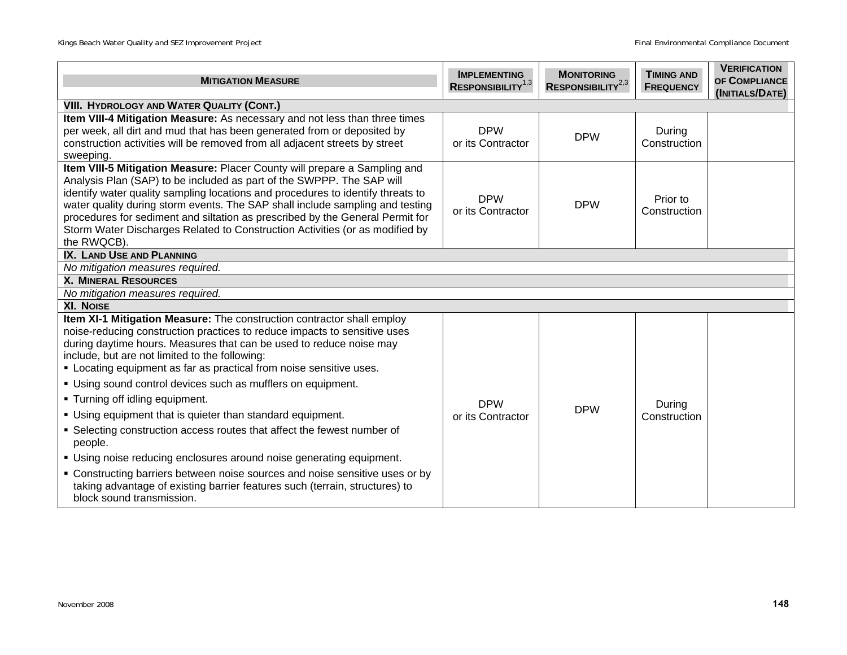| <b>MITIGATION MEASURE</b>                                                                                                                                                                                                                                                                                                                                                                                                                                                                                                                                                                                                                                                          | <b>IMPLEMENTING</b><br>RESPONSIBILITY <sup>1,3</sup> | <b>MONITORING</b><br>$\mathsf{RESPONSIBILITY}^{2,3}$ | <b>TIMING AND</b><br><b>FREQUENCY</b> | <b>VERIFICATION</b><br>OF COMPLIANCE<br>(INITIALS/DATE) |
|------------------------------------------------------------------------------------------------------------------------------------------------------------------------------------------------------------------------------------------------------------------------------------------------------------------------------------------------------------------------------------------------------------------------------------------------------------------------------------------------------------------------------------------------------------------------------------------------------------------------------------------------------------------------------------|------------------------------------------------------|------------------------------------------------------|---------------------------------------|---------------------------------------------------------|
| <b>VIII. HYDROLOGY AND WATER QUALITY (CONT.)</b>                                                                                                                                                                                                                                                                                                                                                                                                                                                                                                                                                                                                                                   |                                                      |                                                      |                                       |                                                         |
| Item VIII-4 Mitigation Measure: As necessary and not less than three times<br>per week, all dirt and mud that has been generated from or deposited by<br>construction activities will be removed from all adjacent streets by street<br>sweeping.                                                                                                                                                                                                                                                                                                                                                                                                                                  | <b>DPW</b><br>or its Contractor                      | <b>DPW</b>                                           | During<br>Construction                |                                                         |
| Item VIII-5 Mitigation Measure: Placer County will prepare a Sampling and<br>Analysis Plan (SAP) to be included as part of the SWPPP. The SAP will<br>identify water quality sampling locations and procedures to identify threats to<br>water quality during storm events. The SAP shall include sampling and testing<br>procedures for sediment and siltation as prescribed by the General Permit for<br>Storm Water Discharges Related to Construction Activities (or as modified by<br>the RWQCB).                                                                                                                                                                             | <b>DPW</b><br>or its Contractor                      | <b>DPW</b>                                           | Prior to<br>Construction              |                                                         |
| IX. LAND USE AND PLANNING                                                                                                                                                                                                                                                                                                                                                                                                                                                                                                                                                                                                                                                          |                                                      |                                                      |                                       |                                                         |
| No mitigation measures required.                                                                                                                                                                                                                                                                                                                                                                                                                                                                                                                                                                                                                                                   |                                                      |                                                      |                                       |                                                         |
| <b>X. MINERAL RESOURCES</b>                                                                                                                                                                                                                                                                                                                                                                                                                                                                                                                                                                                                                                                        |                                                      |                                                      |                                       |                                                         |
| No mitigation measures required.                                                                                                                                                                                                                                                                                                                                                                                                                                                                                                                                                                                                                                                   |                                                      |                                                      |                                       |                                                         |
| <b>XI. NOISE</b>                                                                                                                                                                                                                                                                                                                                                                                                                                                                                                                                                                                                                                                                   |                                                      |                                                      |                                       |                                                         |
| Item XI-1 Mitigation Measure: The construction contractor shall employ<br>noise-reducing construction practices to reduce impacts to sensitive uses<br>during daytime hours. Measures that can be used to reduce noise may<br>include, but are not limited to the following:<br>• Locating equipment as far as practical from noise sensitive uses.<br>• Using sound control devices such as mufflers on equipment.<br>. Turning off idling equipment.<br>• Using equipment that is quieter than standard equipment.<br>• Selecting construction access routes that affect the fewest number of<br>people.<br>• Using noise reducing enclosures around noise generating equipment. | <b>DPW</b><br>or its Contractor                      | <b>DPW</b>                                           | During<br>Construction                |                                                         |
| • Constructing barriers between noise sources and noise sensitive uses or by<br>taking advantage of existing barrier features such (terrain, structures) to<br>block sound transmission.                                                                                                                                                                                                                                                                                                                                                                                                                                                                                           |                                                      |                                                      |                                       |                                                         |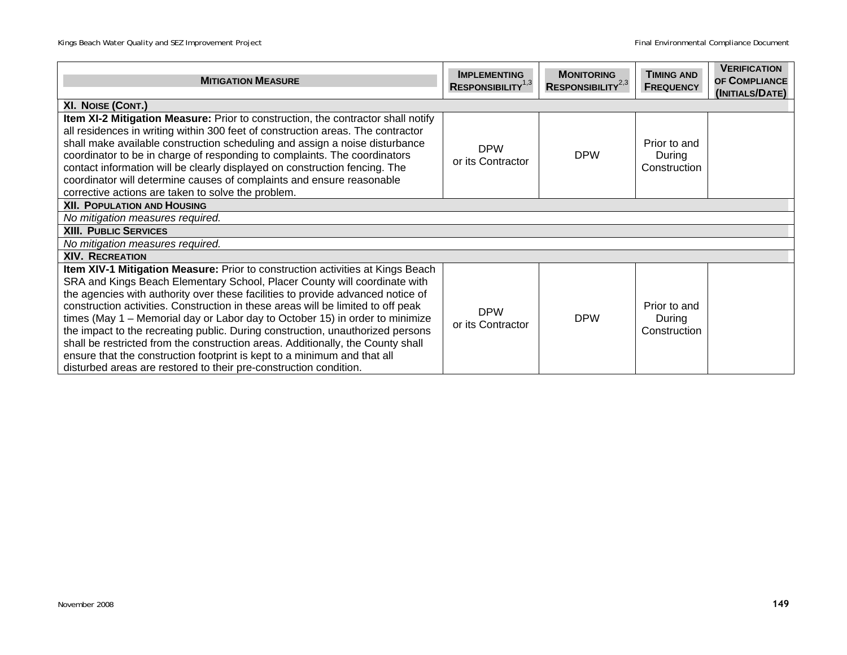| <b>MITIGATION MEASURE</b>                                                                                                                                                                                                                                                                                                                                                                                                                                                                                                                                                                                                                                                                                                                | <b>IMPLEMENTING</b><br>$\mathsf{RESPONSIBILITY}^{1,3}$ | <b>MONITORING</b><br>RESPONSIBILITY <sup>2,3</sup> | <b>TIMING AND</b><br><b>FREQUENCY</b>  | <b>VERIFICATION</b><br>OF COMPLIANCE<br>(INITIALS/DATE) |
|------------------------------------------------------------------------------------------------------------------------------------------------------------------------------------------------------------------------------------------------------------------------------------------------------------------------------------------------------------------------------------------------------------------------------------------------------------------------------------------------------------------------------------------------------------------------------------------------------------------------------------------------------------------------------------------------------------------------------------------|--------------------------------------------------------|----------------------------------------------------|----------------------------------------|---------------------------------------------------------|
| XI. NOISE (CONT.)                                                                                                                                                                                                                                                                                                                                                                                                                                                                                                                                                                                                                                                                                                                        |                                                        |                                                    |                                        |                                                         |
| Item XI-2 Mitigation Measure: Prior to construction, the contractor shall notify<br>all residences in writing within 300 feet of construction areas. The contractor<br>shall make available construction scheduling and assign a noise disturbance<br>coordinator to be in charge of responding to complaints. The coordinators<br>contact information will be clearly displayed on construction fencing. The<br>coordinator will determine causes of complaints and ensure reasonable<br>corrective actions are taken to solve the problem.                                                                                                                                                                                             | <b>DPW</b><br>or its Contractor                        | <b>DPW</b>                                         | Prior to and<br>During<br>Construction |                                                         |
| <b>XII. POPULATION AND HOUSING</b>                                                                                                                                                                                                                                                                                                                                                                                                                                                                                                                                                                                                                                                                                                       |                                                        |                                                    |                                        |                                                         |
| No mitigation measures required.                                                                                                                                                                                                                                                                                                                                                                                                                                                                                                                                                                                                                                                                                                         |                                                        |                                                    |                                        |                                                         |
| <b>XIII. PUBLIC SERVICES</b>                                                                                                                                                                                                                                                                                                                                                                                                                                                                                                                                                                                                                                                                                                             |                                                        |                                                    |                                        |                                                         |
| No mitigation measures required.                                                                                                                                                                                                                                                                                                                                                                                                                                                                                                                                                                                                                                                                                                         |                                                        |                                                    |                                        |                                                         |
| <b>XIV. RECREATION</b>                                                                                                                                                                                                                                                                                                                                                                                                                                                                                                                                                                                                                                                                                                                   |                                                        |                                                    |                                        |                                                         |
| Item XIV-1 Mitigation Measure: Prior to construction activities at Kings Beach<br>SRA and Kings Beach Elementary School, Placer County will coordinate with<br>the agencies with authority over these facilities to provide advanced notice of<br>construction activities. Construction in these areas will be limited to off peak<br>times (May 1 – Memorial day or Labor day to October 15) in order to minimize<br>the impact to the recreating public. During construction, unauthorized persons<br>shall be restricted from the construction areas. Additionally, the County shall<br>ensure that the construction footprint is kept to a minimum and that all<br>disturbed areas are restored to their pre-construction condition. | <b>DPW</b><br>or its Contractor                        | <b>DPW</b>                                         | Prior to and<br>During<br>Construction |                                                         |